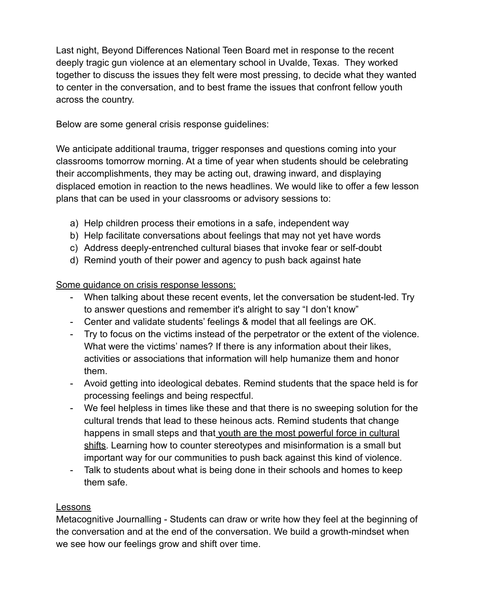Last night, Beyond Differences National Teen Board met in response to the recent deeply tragic gun violence at an elementary school in Uvalde, Texas. They worked together to discuss the issues they felt were most pressing, to decide what they wanted to center in the conversation, and to best frame the issues that confront fellow youth across the country.

Below are some general crisis response guidelines:

We anticipate additional trauma, trigger responses and questions coming into your classrooms tomorrow morning. At a time of year when students should be celebrating their accomplishments, they may be acting out, drawing inward, and displaying displaced emotion in reaction to the news headlines. We would like to offer a few lesson plans that can be used in your classrooms or advisory sessions to:

- a) Help children process their emotions in a safe, independent way
- b) Help facilitate conversations about feelings that may not yet have words
- c) Address deeply-entrenched cultural biases that invoke fear or self-doubt
- d) Remind youth of their power and agency to push back against hate

Some guidance on crisis response lessons:

- When talking about these recent events, let the conversation be student-led. Try to answer questions and remember it's alright to say "I don't know"
- Center and validate students' feelings & model that all feelings are OK.
- Try to focus on the victims instead of the perpetrator or the extent of the violence. What were the victims' names? If there is any information about their likes, activities or associations that information will help humanize them and honor them.
- Avoid getting into ideological debates. Remind students that the space held is for processing feelings and being respectful.
- We feel helpless in times like these and that there is no sweeping solution for the cultural trends that lead to these heinous acts. Remind students that change happens in small steps and that youth are the most powerful force in cultural shifts. Learning how to counter stereotypes and misinformation is a small but important way for our communities to push back against this kind of violence.
- Talk to students about what is being done in their schools and homes to keep them safe.

## Lessons

Metacognitive Journalling - Students can draw or write how they feel at the beginning of the conversation and at the end of the conversation. We build a growth-mindset when we see how our feelings grow and shift over time.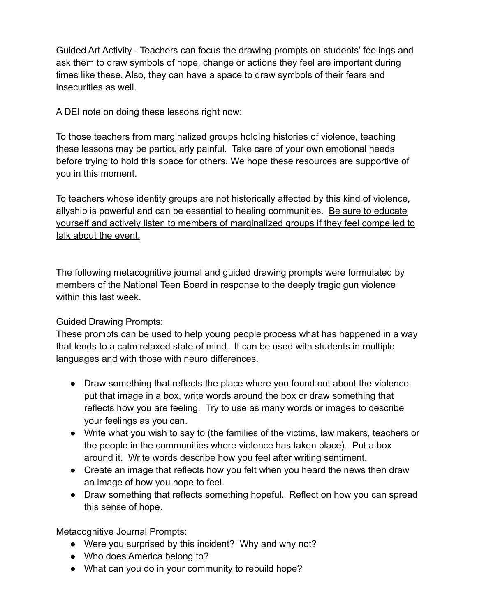Guided Art Activity - Teachers can focus the drawing prompts on students' feelings and ask them to draw symbols of hope, change or actions they feel are important during times like these. Also, they can have a space to draw symbols of their fears and insecurities as well.

A DEI note on doing these lessons right now:

To those teachers from marginalized groups holding histories of violence, teaching these lessons may be particularly painful. Take care of your own emotional needs before trying to hold this space for others. We hope these resources are supportive of you in this moment.

To teachers whose identity groups are not historically affected by this kind of violence, allyship is powerful and can be essential to healing communities. Be sure to educate yourself and actively listen to members of marginalized groups if they feel compelled to talk about the event.

The following metacognitive journal and guided drawing prompts were formulated by members of the National Teen Board in response to the deeply tragic gun violence within this last week.

## Guided Drawing Prompts:

These prompts can be used to help young people process what has happened in a way that lends to a calm relaxed state of mind. It can be used with students in multiple languages and with those with neuro differences.

- Draw something that reflects the place where you found out about the violence, put that image in a box, write words around the box or draw something that reflects how you are feeling. Try to use as many words or images to describe your feelings as you can.
- Write what you wish to say to (the families of the victims, law makers, teachers or the people in the communities where violence has taken place). Put a box around it. Write words describe how you feel after writing sentiment.
- Create an image that reflects how you felt when you heard the news then draw an image of how you hope to feel.
- Draw something that reflects something hopeful. Reflect on how you can spread this sense of hope.

Metacognitive Journal Prompts:

- Were you surprised by this incident? Why and why not?
- Who does America belong to?
- What can you do in your community to rebuild hope?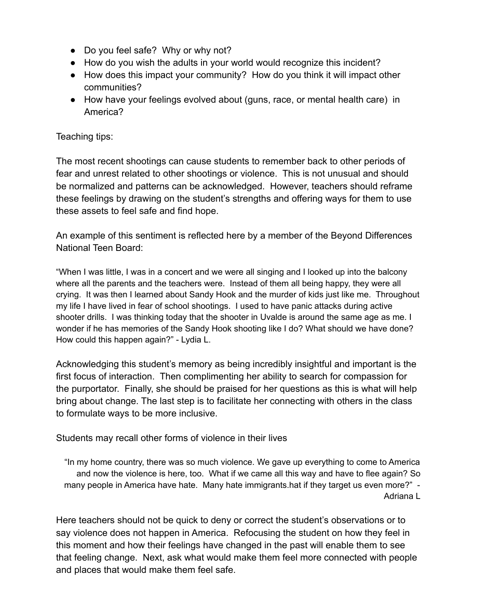- Do you feel safe? Why or why not?
- How do you wish the adults in your world would recognize this incident?
- How does this impact your community? How do you think it will impact other communities?
- How have your feelings evolved about (guns, race, or mental health care) in America?

## Teaching tips:

The most recent shootings can cause students to remember back to other periods of fear and unrest related to other shootings or violence. This is not unusual and should be normalized and patterns can be acknowledged. However, teachers should reframe these feelings by drawing on the student's strengths and offering ways for them to use these assets to feel safe and find hope.

An example of this sentiment is reflected here by a member of the Beyond Differences National Teen Board:

"When I was little, I was in a concert and we were all singing and I looked up into the balcony where all the parents and the teachers were. Instead of them all being happy, they were all crying. It was then I learned about Sandy Hook and the murder of kids just like me. Throughout my life I have lived in fear of school shootings. I used to have panic attacks during active shooter drills. I was thinking today that the shooter in Uvalde is around the same age as me. I wonder if he has memories of the Sandy Hook shooting like I do? What should we have done? How could this happen again?" - Lydia L.

Acknowledging this student's memory as being incredibly insightful and important is the first focus of interaction. Then complimenting her ability to search for compassion for the purportator. Finally, she should be praised for her questions as this is what will help bring about change. The last step is to facilitate her connecting with others in the class to formulate ways to be more inclusive.

Students may recall other forms of violence in their lives

"In my home country, there was so much violence. We gave up everything to come to America and now the violence is here, too. What if we came all this way and have to flee again? So many people in America have hate. Many hate immigrants hat if they target us even more?" -Adriana L

Here teachers should not be quick to deny or correct the student's observations or to say violence does not happen in America. Refocusing the student on how they feel in this moment and how their feelings have changed in the past will enable them to see that feeling change. Next, ask what would make them feel more connected with people and places that would make them feel safe.